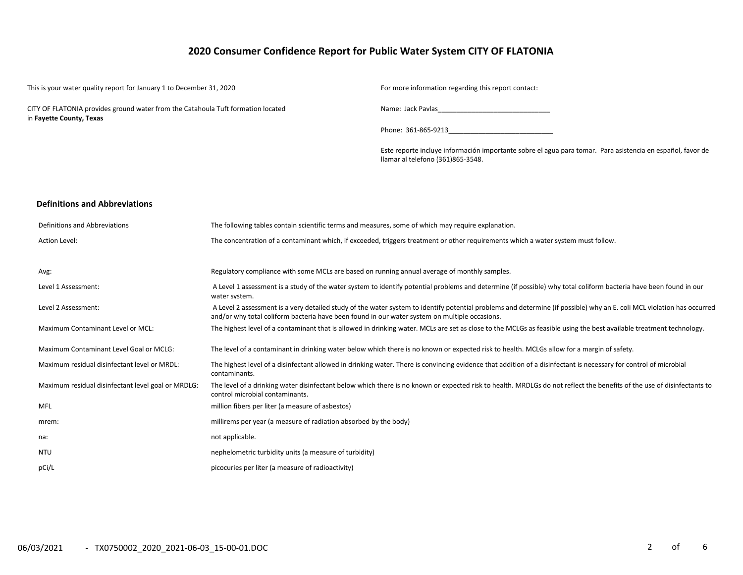# **2020 Consumer Confidence Report for Public Water System CITY OF FLATONIA**

| This is your water quality report for January 1 to December 31, 2020             |                                                                                                    | For more information regarding this report contact:                                                                                                                    |
|----------------------------------------------------------------------------------|----------------------------------------------------------------------------------------------------|------------------------------------------------------------------------------------------------------------------------------------------------------------------------|
| CITY OF FLATONIA provides ground water from the Catahoula Tuft formation located |                                                                                                    | Name: Jack Pavlas Name and San Annual State and San Annual State and San Annual State and State and State and S                                                        |
| in Fayette County, Texas                                                         |                                                                                                    | Phone: 361-865-9213                                                                                                                                                    |
|                                                                                  |                                                                                                    | Este reporte incluye información importante sobre el agua para tomar. Para asistencia en español, favor de<br>llamar al telefono (361)865-3548.                        |
|                                                                                  |                                                                                                    |                                                                                                                                                                        |
| <b>Definitions and Abbreviations</b>                                             |                                                                                                    |                                                                                                                                                                        |
| Definitions and Abbreviations                                                    | The following tables contain scientific terms and measures, some of which may require explanation. |                                                                                                                                                                        |
| Action Level:                                                                    |                                                                                                    | The concentration of a contaminant which, if exceeded, triggers treatment or other requirements which a water system must follow.                                      |
| Avg:                                                                             | Regulatory compliance with some MCLs are based on running annual average of monthly samples.       |                                                                                                                                                                        |
| Level 1 Assessment:                                                              | water system.                                                                                      | A Level 1 assessment is a study of the water system to identify potential problems and determine (if possible) why total coliform bacteria have been found in our      |
| Level 2 Assessment:                                                              | and/or why total coliform bacteria have been found in our water system on multiple occasions.      | A Level 2 assessment is a very detailed study of the water system to identify potential problems and determine (if possible) why an E. coli MCL violation has occurred |
| Maximum Contaminant Level or MCL:                                                |                                                                                                    | The highest level of a contaminant that is allowed in drinking water. MCLs are set as close to the MCLGs as feasible using the best available treatment technology.    |
| Maximum Contaminant Level Goal or MCLG:                                          |                                                                                                    | The level of a contaminant in drinking water below which there is no known or expected risk to health. MCLGs allow for a margin of safety.                             |
| Maximum residual disinfectant level or MRDL:                                     | contaminants.                                                                                      | The highest level of a disinfectant allowed in drinking water. There is convincing evidence that addition of a disinfectant is necessary for control of microbial      |
| Maximum residual disinfectant level goal or MRDLG:                               | control microbial contaminants.                                                                    | The level of a drinking water disinfectant below which there is no known or expected risk to health. MRDLGs do not reflect the benefits of the use of disinfectants to |
| <b>MFL</b>                                                                       | million fibers per liter (a measure of asbestos)                                                   |                                                                                                                                                                        |
| mrem:                                                                            | millirems per year (a measure of radiation absorbed by the body)                                   |                                                                                                                                                                        |
| na:                                                                              | not applicable.                                                                                    |                                                                                                                                                                        |
| NTU                                                                              | nephelometric turbidity units (a measure of turbidity)                                             |                                                                                                                                                                        |
| pCi/L                                                                            | picocuries per liter (a measure of radioactivity)                                                  |                                                                                                                                                                        |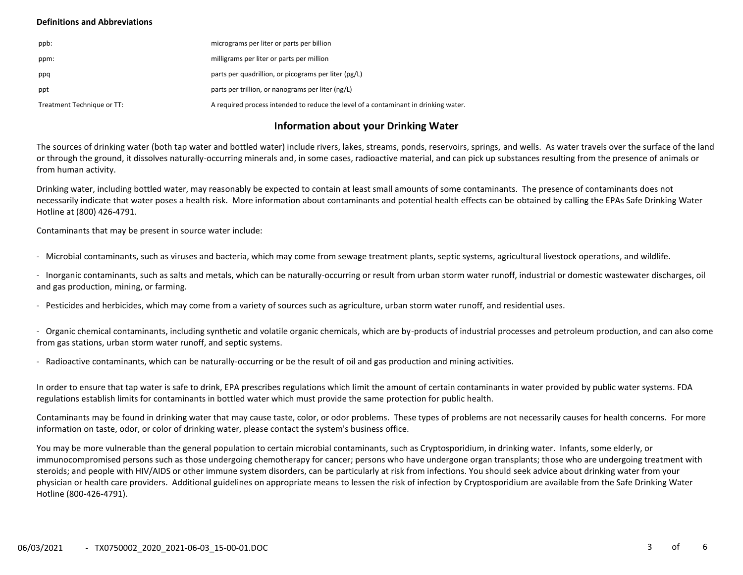### **Definitions and Abbreviations**

| ppb:                       | micrograms per liter or parts per billion                                           |
|----------------------------|-------------------------------------------------------------------------------------|
| ppm:                       | milligrams per liter or parts per million                                           |
| ppq                        | parts per quadrillion, or picograms per liter (pg/L)                                |
| ppt                        | parts per trillion, or nanograms per liter (ng/L)                                   |
| Treatment Technique or TT: | A required process intended to reduce the level of a contaminant in drinking water. |

### **Information about your Drinking Water**

The sources of drinking water (both tap water and bottled water) include rivers, lakes, streams, ponds, reservoirs, springs, and wells. As water travels over the surface of the land or through the ground, it dissolves naturally-occurring minerals and, in some cases, radioactive material, and can pick up substances resulting from the presence of animals or from human activity.

Drinking water, including bottled water, may reasonably be expected to contain at least small amounts of some contaminants. The presence of contaminants does not necessarily indicate that water poses a health risk. More information about contaminants and potential health effects can be obtained by calling the EPAs Safe Drinking Water Hotline at (800) 426-4791.

Contaminants that may be present in source water include:

- Microbial contaminants, such as viruses and bacteria, which may come from sewage treatment plants, septic systems, agricultural livestock operations, and wildlife.

- Inorganic contaminants, such as salts and metals, which can be naturally-occurring or result from urban storm water runoff, industrial or domestic wastewater discharges, oil and gas production, mining, or farming.

- Pesticides and herbicides, which may come from a variety of sources such as agriculture, urban storm water runoff, and residential uses.

- Organic chemical contaminants, including synthetic and volatile organic chemicals, which are by-products of industrial processes and petroleum production, and can also come from gas stations, urban storm water runoff, and septic systems.

- Radioactive contaminants, which can be naturally-occurring or be the result of oil and gas production and mining activities.

In order to ensure that tap water is safe to drink, EPA prescribes regulations which limit the amount of certain contaminants in water provided by public water systems. FDA regulations establish limits for contaminants in bottled water which must provide the same protection for public health.

Contaminants may be found in drinking water that may cause taste, color, or odor problems. These types of problems are not necessarily causes for health concerns. For more information on taste, odor, or color of drinking water, please contact the system's business office.

You may be more vulnerable than the general population to certain microbial contaminants, such as Cryptosporidium, in drinking water. Infants, some elderly, or immunocompromised persons such as those undergoing chemotherapy for cancer; persons who have undergone organ transplants; those who are undergoing treatment with steroids; and people with HIV/AIDS or other immune system disorders, can be particularly at risk from infections. You should seek advice about drinking water from your physician or health care providers. Additional guidelines on appropriate means to lessen the risk of infection by Cryptosporidium are available from the Safe Drinking Water Hotline (800-426-4791).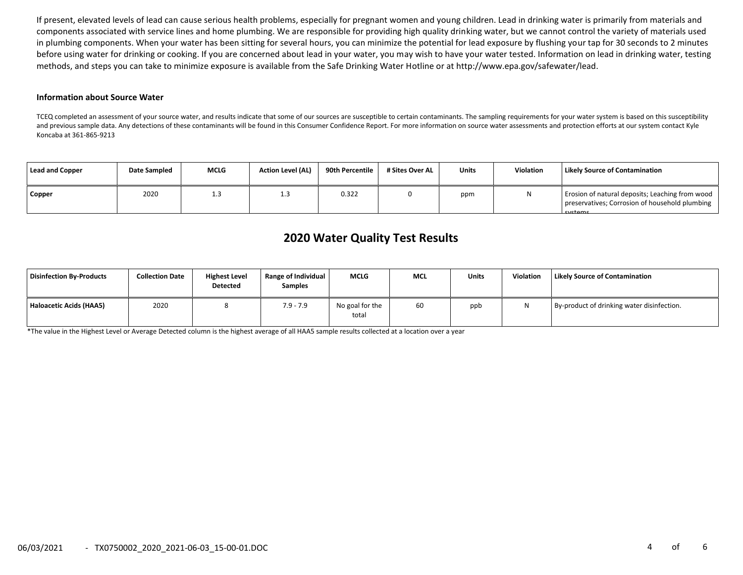If present, elevated levels of lead can cause serious health problems, especially for pregnant women and young children. Lead in drinking water is primarily from materials and components associated with service lines and home plumbing. We are responsible for providing high quality drinking water, but we cannot control the variety of materials used in plumbing components. When your water has been sitting for several hours, you can minimize the potential for lead exposure by flushing your tap for 30 seconds to 2 minutes before using water for drinking or cooking. If you are concerned about lead in your water, you may wish to have your water tested. Information on lead in drinking water, testing methods, and steps you can take to minimize exposure is available from the Safe Drinking Water Hotline or at http://www.epa.gov/safewater/lead.

#### **Information about Source Water**

TCEQ completed an assessment of your source water, and results indicate that some of our sources are susceptible to certain contaminants. The sampling requirements for your water system is based on this susceptibility and previous sample data. Any detections of these contaminants will be found in this Consumer Confidence Report. For more information on source water assessments and protection efforts at our system contact Kyle Koncaba at 361-865-9213

| Lead and Copper | Date Sampled | <b>MCLG</b> | <b>Action Level (AL)</b> | 90th Percentile | # Sites Over AL | <b>Units</b> | <b>Violation</b> | Likely Source of Contamination                                                                               |
|-----------------|--------------|-------------|--------------------------|-----------------|-----------------|--------------|------------------|--------------------------------------------------------------------------------------------------------------|
| <b>Copper</b>   | 2020         | ∸.          | 1.3                      | 0.322           |                 | ppm          | N                | Erosion of natural deposits; Leaching from wood<br>preservatives; Corrosion of household plumbing<br>cystams |

# **2020 Water Quality Test Results**

| Disinfection By-Products | <b>Collection Date</b> | <b>Highest Level</b><br><b>Detected</b> | Range of Individual<br><b>Samples</b> | <b>MCLG</b>              | <b>MCL</b> | <b>Units</b> | <b>Violation</b> | Likely Source of Contamination             |
|--------------------------|------------------------|-----------------------------------------|---------------------------------------|--------------------------|------------|--------------|------------------|--------------------------------------------|
| Haloacetic Acids (HAA5)  | 2020                   |                                         | $7.9 - 7.9$                           | No goal for the<br>total | 60         | ppb          |                  | By-product of drinking water disinfection. |

\*The value in the Highest Level or Average Detected column is the highest average of all HAA5 sample results collected at a location over a year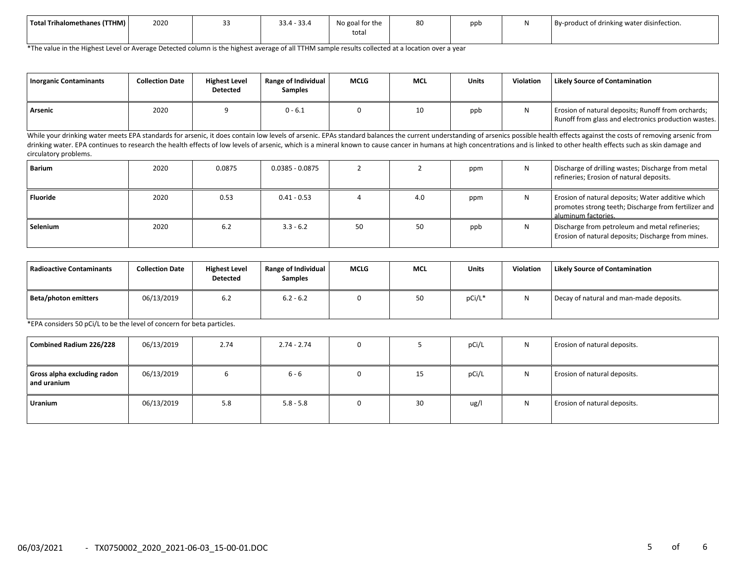| Total Trihalomethanes (TTHM) | 2020 | $33.4 - 33.4$ | $\sim$ $\sim$ $\sim$ $\sim$<br>No goal for the<br>total | 80 | ppb | By-product of drinking water disinfection. |
|------------------------------|------|---------------|---------------------------------------------------------|----|-----|--------------------------------------------|
|                              |      |               |                                                         |    |     |                                            |

\*The value in the Highest Level or Average Detected column is the highest average of all TTHM sample results collected at a location over a year

| Inorganic Contaminants | <b>Collection Date</b> | <b>Highest Level</b><br><b>Detected</b> | <b>Range of Individual</b><br>Samples | <b>MCLG</b> | <b>MCL</b> | <b>Units</b> | Violation | <b>Likely Source of Contamination</b>                                                                      |
|------------------------|------------------------|-----------------------------------------|---------------------------------------|-------------|------------|--------------|-----------|------------------------------------------------------------------------------------------------------------|
| Arsenic                | 2020                   |                                         | $0 - 6.1$                             |             |            | ppb          |           | Erosion of natural deposits; Runoff from orchards;<br>Runoff from glass and electronics production wastes. |

While your drinking water meets EPA standards for arsenic, it does contain low levels of arsenic. EPAs standard balances the current understanding of arsenics possible health effects against the costs of removing arsenic f drinking water. EPA continues to research the health effects of low levels of arsenic, which is a mineral known to cause cancer in humans at high concentrations and is linked to other health effects such as skin damage and circulatory problems.

| Barium          | 2020 | 0.0875 | $0.0385 - 0.0875$ |    |     | ppm |    | Discharge of drilling wastes; Discharge from metal<br>refineries; Erosion of natural deposits.                                   |
|-----------------|------|--------|-------------------|----|-----|-----|----|----------------------------------------------------------------------------------------------------------------------------------|
| <b>Fluoride</b> | 2020 | 0.53   | $0.41 - 0.53$     |    | 4.0 | ppm | ΙV | Erosion of natural deposits; Water additive which<br>promotes strong teeth; Discharge from fertilizer and<br>aluminum factories. |
| Selenium        | 2020 | 6.2    | $3.3 - 6.2$       | 50 | 50  | ppb |    | Discharge from petroleum and metal refineries;<br>Erosion of natural deposits; Discharge from mines.                             |

| Radioactive Contaminants | <b>Collection Date</b> | <b>Highest Level</b><br><b>Detected</b> | Range of Individual<br>Samples | <b>MCLG</b> | <b>MCL</b> | <b>Units</b> | Violation | <b>Likely Source of Contamination</b>   |
|--------------------------|------------------------|-----------------------------------------|--------------------------------|-------------|------------|--------------|-----------|-----------------------------------------|
| Beta/photon emitters     | 06/13/2019             | 6.2                                     | $6.2 - 6.2$                    |             | 50         | pCi/L*       | N         | Decay of natural and man-made deposits. |

\*EPA considers 50 pCi/L to be the level of concern for beta particles.

| Combined Radium 226/228                      | 06/13/2019 | 2.74 | $2.74 - 2.74$ | 0 |    | pCi/L | N | Erosion of natural deposits. |
|----------------------------------------------|------------|------|---------------|---|----|-------|---|------------------------------|
| Gross alpha excluding radon<br>l and uranium | 06/13/2019 |      | $6 - 6$       | 0 | 15 | pCi/L | N | Erosion of natural deposits. |
| Uranium                                      | 06/13/2019 | 5.8  | $5.8 - 5.8$   | 0 | 30 | ug/l  | N | Erosion of natural deposits. |